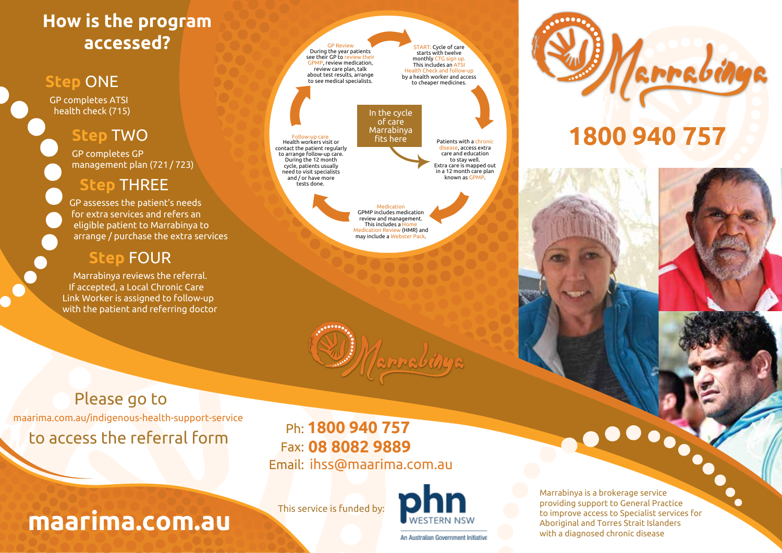# **How is the program accessed?**

### **Step** ONE

GP completes ATSI health check (715)

### **Step** TWO

GP completes GP management plan (721 / 723)

# **Step** THREE

GP assesses the patient's needs for extra services and refers an eligible patient to Marrabinya to arrange / purchase the extra services

### **Step** FOUR

 Marrabinya reviews the referral. If accepted, a Local Chronic Care Link Worker is assigned to follow-up with the patient and referring doctor



Follow-up care

Health workers visit or contact the patient regularly to arrange follow-up care. During the 12 month cycle, patients usually need to visit specialists and / or have more tests done.

START: Cycle of care starts with twelve monthly CTG sign up. This includes an ATSI Health Check and follow-up by a health worker and access to cheaper medicines.

In the cycle of care Marrabinya fits here

Patients with a chronic disease, access extra care and education to stay well. Extra care is mapped out in a 12 month care plan known as GPMP.

Medication GPMP includes medication review and management. This includes a Home Medication Review (HMR) and may include a Webster Pack.





# **1800 940 757**

Please go to

to access the referral form maarima.com.au/indigenous-health-support-service

**maarima.com.au**

**1800 940 757** Ph: **08 8082 9889** Fax: Email: ihss@maarima.com.au

This service is funded by:



Marrabinya is a brokerage service providing support to General Practice to improve access to Specialist services for Aboriginal and Torres Strait Islanders with a diagnosed chronic disease